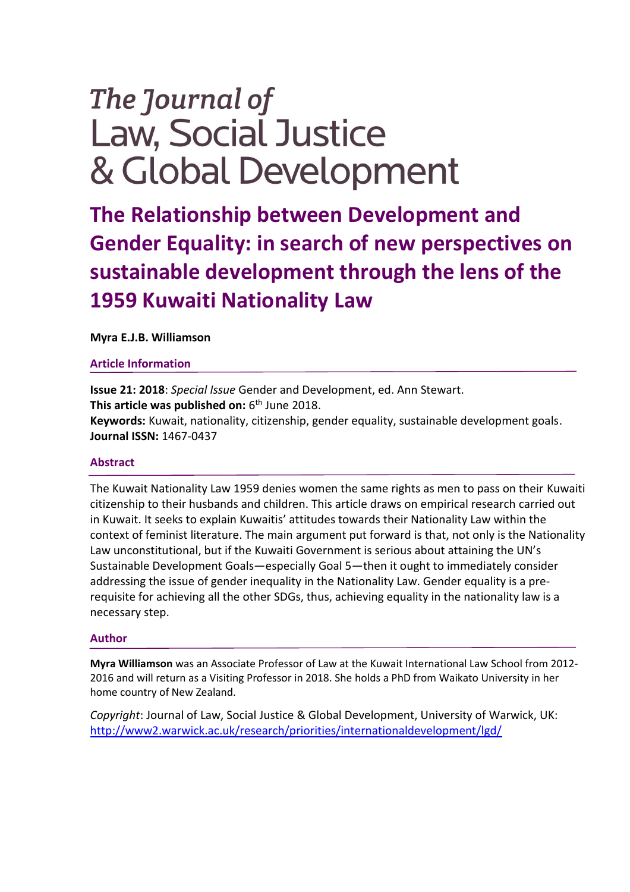# The Journal of **Law, Social Justice** & Global Development

**The Relationship between Development and Gender Equality: in search of new perspectives on sustainable development through the lens of the 1959 Kuwaiti Nationality Law** 

**Myra E.J.B. Williamson**

# **Article Information**

**Issue 21: 2018**: *Special Issue* Gender and Development, ed. Ann Stewart. **This article was published on:** 6<sup>th</sup> June 2018. **Keywords:** Kuwait, nationality, citizenship, gender equality, sustainable development goals. **Journal ISSN:** 1467-0437

# **Abstract**

The Kuwait Nationality Law 1959 denies women the same rights as men to pass on their Kuwaiti citizenship to their husbands and children. This article draws on empirical research carried out in Kuwait. It seeks to explain Kuwaitis' attitudes towards their Nationality Law within the context of feminist literature. The main argument put forward is that, not only is the Nationality Law unconstitutional, but if the Kuwaiti Government is serious about attaining the UN's Sustainable Development Goals—especially Goal 5—then it ought to immediately consider addressing the issue of gender inequality in the Nationality Law. Gender equality is a prerequisite for achieving all the other SDGs, thus, achieving equality in the nationality law is a necessary step.

# **Author**

**Myra Williamson** was an Associate Professor of Law at the Kuwait International Law School from 2012- 2016 and will return as a Visiting Professor in 2018. She holds a PhD from Waikato University in her home country of New Zealand.

*Copyright*: Journal of Law, Social Justice & Global Development, University of Warwick, UK: <http://www2.warwick.ac.uk/research/priorities/internationaldevelopment/lgd/>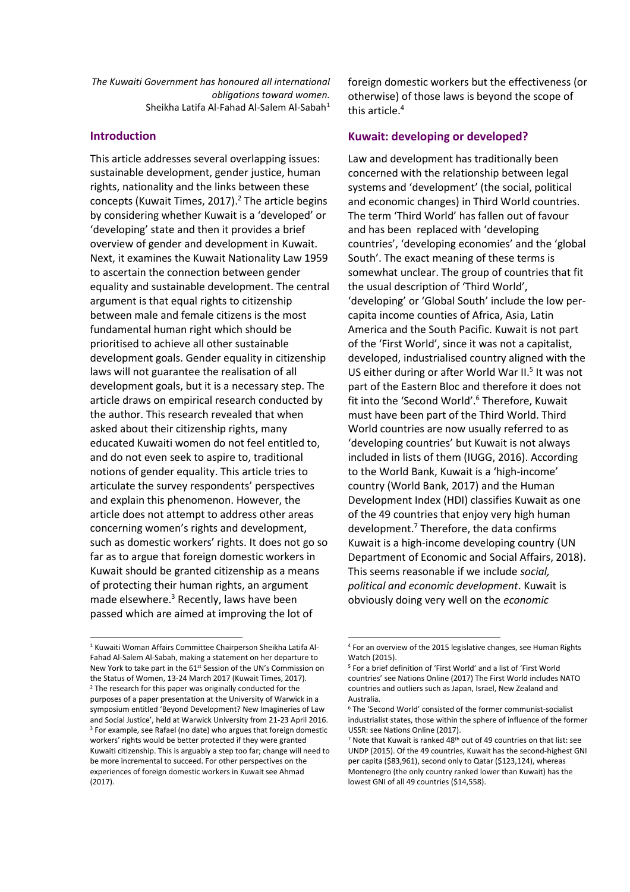*The Kuwaiti Government has honoured all international obligations toward women.* Sheikha Latifa Al-Fahad Al-Salem Al-Sabah<sup>1</sup>

## **Introduction**

<u>.</u>

This article addresses several overlapping issues: sustainable development, gender justice, human rights, nationality and the links between these concepts (Kuwait Times, 2017). <sup>2</sup> The article begins by considering whether Kuwait is a 'developed' or 'developing' state and then it provides a brief overview of gender and development in Kuwait. Next, it examines the Kuwait Nationality Law 1959 to ascertain the connection between gender equality and sustainable development. The central argument is that equal rights to citizenship between male and female citizens is the most fundamental human right which should be prioritised to achieve all other sustainable development goals. Gender equality in citizenship laws will not guarantee the realisation of all development goals, but it is a necessary step. The article draws on empirical research conducted by the author. This research revealed that when asked about their citizenship rights, many educated Kuwaiti women do not feel entitled to, and do not even seek to aspire to, traditional notions of gender equality. This article tries to articulate the survey respondents' perspectives and explain this phenomenon. However, the article does not attempt to address other areas concerning women's rights and development, such as domestic workers' rights. It does not go so far as to argue that foreign domestic workers in Kuwait should be granted citizenship as a means of protecting their human rights, an argument made elsewhere.<sup>3</sup> Recently, laws have been passed which are aimed at improving the lot of

foreign domestic workers but the effectiveness (or otherwise) of those laws is beyond the scope of this article.<sup>4</sup>

## **Kuwait: developing or developed?**

Law and development has traditionally been concerned with the relationship between legal systems and 'development' (the social, political and economic changes) in Third World countries. The term 'Third World' has fallen out of favour and has been replaced with 'developing countries', 'developing economies' and the 'global South'. The exact meaning of these terms is somewhat unclear. The group of countries that fit the usual description of 'Third World', 'developing' or 'Global South' include the low percapita income counties of Africa, Asia, Latin America and the South Pacific. Kuwait is not part of the 'First World', since it was not a capitalist, developed, industrialised country aligned with the US either during or after World War II.<sup>5</sup> It was not part of the Eastern Bloc and therefore it does not fit into the 'Second World'.<sup>6</sup> Therefore, Kuwait must have been part of the Third World. Third World countries are now usually referred to as 'developing countries' but Kuwait is not always included in lists of them (IUGG, 2016). According to the World Bank, Kuwait is a 'high-income' country (World Bank, 2017) and the Human Development Index (HDI) classifies Kuwait as one of the 49 countries that enjoy very high human development.<sup>7</sup> Therefore, the data confirms Kuwait is a high-income developing country (UN Department of Economic and Social Affairs, 2018). This seems reasonable if we include *social, political and economic development*. Kuwait is obviously doing very well on the *economic*

<sup>1</sup> Kuwaiti Woman Affairs Committee Chairperson Sheikha Latifa Al-Fahad Al-Salem Al-Sabah, making a statement on her departure to New York to take part in the 61<sup>st</sup> Session of the UN's Commission on the Status of Women, 13-24 March 2017 (Kuwait Times, 2017). <sup>2</sup> The research for this paper was originally conducted for the purposes of a paper presentation at the University of Warwick in a symposium entitled 'Beyond Development? New Imagineries of Law and Social Justice', held at Warwick University from 21-23 April 2016. <sup>3</sup> For example, see Rafael (no date) who argues that foreign domestic workers' rights would be better protected if they were granted Kuwaiti citizenship. This is arguably a step too far; change will need to be more incremental to succeed. For other perspectives on the experiences of foreign domestic workers in Kuwait see Ahmad (2017).

<sup>4</sup> For an overview of the 2015 legislative changes, see Human Rights Watch (2015).

<sup>5</sup> For a brief definition of 'First World' and a list of 'First World countries' see Nations Online (2017) The First World includes NATO countries and outliers such as Japan, Israel, New Zealand and Australia.

<sup>6</sup> The 'Second World' consisted of the former communist-socialist industrialist states, those within the sphere of influence of the former USSR: see Nations Online (2017).

 $7$  Note that Kuwait is ranked 48<sup>th</sup> out of 49 countries on that list: see UNDP (2015). Of the 49 countries, Kuwait has the second-highest GNI per capita (\$83,961), second only to Qatar (\$123,124), whereas Montenegro (the only country ranked lower than Kuwait) has the lowest GNI of all 49 countries (\$14,558).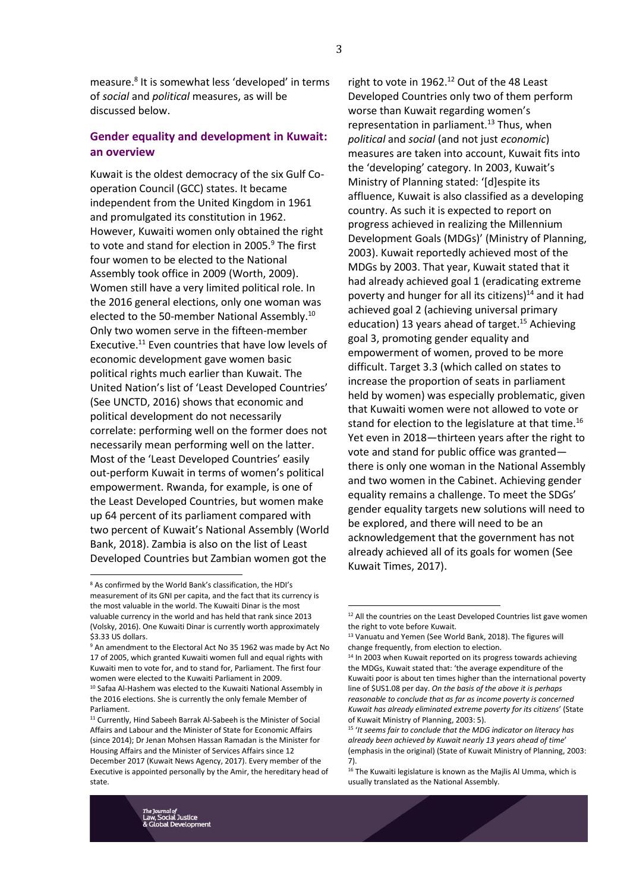measure.<sup>8</sup> It is somewhat less 'developed' in terms of *social* and *political* measures, as will be discussed below.

# **Gender equality and development in Kuwait: an overview**

Kuwait is the oldest democracy of the six Gulf Cooperation Council (GCC) states. It became independent from the United Kingdom in 1961 and promulgated its constitution in 1962. However, Kuwaiti women only obtained the right to vote and stand for election in 2005. $9$  The first four women to be elected to the National Assembly took office in 2009 (Worth, 2009). Women still have a very limited political role. In the 2016 general elections, only one woman was elected to the 50-member National Assembly.<sup>10</sup> Only two women serve in the fifteen-member Executive.<sup>11</sup> Even countries that have low levels of economic development gave women basic political rights much earlier than Kuwait. The United Nation's list of 'Least Developed Countries' (See UNCTD, 2016) shows that economic and political development do not necessarily correlate: performing well on the former does not necessarily mean performing well on the latter. Most of the 'Least Developed Countries' easily out-perform Kuwait in terms of women's political empowerment. Rwanda, for example, is one of the Least Developed Countries, but women make up 64 percent of its parliament compared with two percent of Kuwait's National Assembly (World Bank, 2018). Zambia is also on the list of Least Developed Countries but Zambian women got the

<u>.</u>

right to vote in  $1962.<sup>12</sup>$  Out of the 48 Least Developed Countries only two of them perform worse than Kuwait regarding women's representation in parliament.<sup>13</sup> Thus, when *political* and *social* (and not just *economic*) measures are taken into account, Kuwait fits into the 'developing' category. In 2003, Kuwait's Ministry of Planning stated: '[d]espite its affluence, Kuwait is also classified as a developing country. As such it is expected to report on progress achieved in realizing the Millennium Development Goals (MDGs)' (Ministry of Planning, 2003). Kuwait reportedly achieved most of the MDGs by 2003. That year, Kuwait stated that it had already achieved goal 1 (eradicating extreme poverty and hunger for all its citizens) $14$  and it had achieved goal 2 (achieving universal primary education) 13 years ahead of target.<sup>15</sup> Achieving goal 3, promoting gender equality and empowerment of women, proved to be more difficult. Target 3.3 (which called on states to increase the proportion of seats in parliament held by women) was especially problematic, given that Kuwaiti women were not allowed to vote or stand for election to the legislature at that time.<sup>16</sup> Yet even in 2018—thirteen years after the right to vote and stand for public office was granted there is only one woman in the National Assembly and two women in the Cabinet. Achieving gender equality remains a challenge. To meet the SDGs' gender equality targets new solutions will need to be explored, and there will need to be an acknowledgement that the government has not already achieved all of its goals for women (See Kuwait Times, 2017).



<sup>8</sup> As confirmed by the World Bank's classification, the HDI's measurement of its GNI per capita, and the fact that its currency is the most valuable in the world. The Kuwaiti Dinar is the most valuable currency in the world and has held that rank since 2013 (Volsky, 2016). One Kuwaiti Dinar is currently worth approximately \$3.33 US dollars.

<sup>&</sup>lt;sup>9</sup> An amendment to the Electoral Act No 35 1962 was made by Act No 17 of 2005, which granted Kuwaiti women full and equal rights with Kuwaiti men to vote for, and to stand for, Parliament. The first four women were elected to the Kuwaiti Parliament in 2009.

<sup>10</sup> Safaa Al-Hashem was elected to the Kuwaiti National Assembly in the 2016 elections. She is currently the only female Member of Parliament.

<sup>&</sup>lt;sup>11</sup> Currently, Hind Sabeeh Barrak Al-Sabeeh is the Minister of Social Affairs and Labour and the Minister of State for Economic Affairs (since 2014); Dr Jenan Mohsen Hassan Ramadan is the Minister for Housing Affairs and the Minister of Services Affairs since 12 December 2017 (Kuwait News Agency, 2017). Every member of the Executive is appointed personally by the Amir, the hereditary head of state.

<sup>&</sup>lt;sup>12</sup> All the countries on the Least Developed Countries list gave women the right to vote before Kuwait.

<sup>&</sup>lt;sup>13</sup> Vanuatu and Yemen (See World Bank, 2018). The figures will change frequently, from election to election.

<sup>&</sup>lt;sup>14</sup> In 2003 when Kuwait reported on its progress towards achieving the MDGs, Kuwait stated that: 'the average expenditure of the Kuwaiti poor is about ten times higher than the international poverty line of \$US1.08 per day. *On the basis of the above it is perhaps reasonable to conclude that as far as income poverty is concerned Kuwait has already eliminated extreme poverty for its citizens*' (State of Kuwait Ministry of Planning, 2003: 5).

<sup>15</sup> '*It seems fair to conclude that the MDG indicator on literacy has already been achieved by Kuwait nearly 13 years ahead of time*' (emphasis in the original) (State of Kuwait Ministry of Planning, 2003: 7).

 $^{16}$  The Kuwaiti legislature is known as the Majlis Al Umma, which is usually translated as the National Assembly.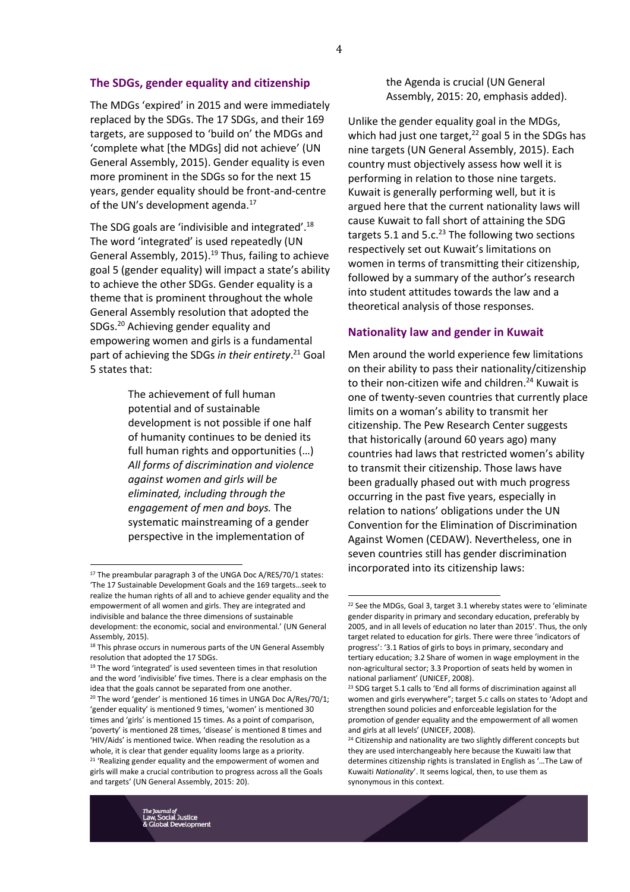#### **The SDGs, gender equality and citizenship**

The MDGs 'expired' in 2015 and were immediately replaced by the SDGs. The 17 SDGs, and their 169 targets, are supposed to 'build on' the MDGs and 'complete what [the MDGs] did not achieve' (UN General Assembly, 2015). Gender equality is even more prominent in the SDGs so for the next 15 years, gender equality should be front-and-centre of the UN's development agenda. $^{17}$ 

The SDG goals are 'indivisible and integrated'.<sup>18</sup> The word 'integrated' is used repeatedly (UN General Assembly, 2015). <sup>19</sup> Thus, failing to achieve goal 5 (gender equality) will impact a state's ability to achieve the other SDGs. Gender equality is a theme that is prominent throughout the whole General Assembly resolution that adopted the SDGs.<sup>20</sup> Achieving gender equality and empowering women and girls is a fundamental part of achieving the SDGs *in their entirety*. <sup>21</sup> Goal 5 states that:

> The achievement of full human potential and of sustainable development is not possible if one half of humanity continues to be denied its full human rights and opportunities (…) *All forms of discrimination and violence against women and girls will be eliminated, including through the engagement of men and boys.* The systematic mainstreaming of a gender perspective in the implementation of

 $\overline{a}$ 

the Agenda is crucial (UN General Assembly, 2015: 20, emphasis added).

Unlike the gender equality goal in the MDGs, which had just one target, $^{22}$  goal 5 in the SDGs has nine targets (UN General Assembly, 2015). Each country must objectively assess how well it is performing in relation to those nine targets. Kuwait is generally performing well, but it is argued here that the current nationality laws will cause Kuwait to fall short of attaining the SDG targets 5.1 and 5.c. $^{23}$  The following two sections respectively set out Kuwait's limitations on women in terms of transmitting their citizenship, followed by a summary of the author's research into student attitudes towards the law and a theoretical analysis of those responses.

#### **Nationality law and gender in Kuwait**

Men around the world experience few limitations on their ability to pass their nationality/citizenship to their non-citizen wife and children.<sup>24</sup> Kuwait is one of twenty-seven countries that currently place limits on a woman's ability to transmit her citizenship. The Pew Research Center suggests that historically (around 60 years ago) many countries had laws that restricted women's ability to transmit their citizenship. Those laws have been gradually phased out with much progress occurring in the past five years, especially in relation to nations' obligations under the UN Convention for the Elimination of Discrimination Against Women (CEDAW). Nevertheless, one in seven countries still has gender discrimination incorporated into its citizenship laws:

 $\overline{a}$ 

<sup>&</sup>lt;sup>17</sup> The preambular paragraph 3 of the UNGA Doc A/RES/70/1 states: 'The 17 Sustainable Development Goals and the 169 targets…seek to realize the human rights of all and to achieve gender equality and the empowerment of all women and girls. They are integrated and indivisible and balance the three dimensions of sustainable development: the economic, social and environmental.' (UN General Assembly, 2015).

<sup>&</sup>lt;sup>18</sup> This phrase occurs in numerous parts of the UN General Assembly resolution that adopted the 17 SDGs.

<sup>&</sup>lt;sup>19</sup> The word 'integrated' is used seventeen times in that resolution and the word 'indivisible' five times. There is a clear emphasis on the idea that the goals cannot be separated from one another. <sup>20</sup> The word 'gender' is mentioned 16 times in UNGA Doc A/Res/70/1; 'gender equality' is mentioned 9 times, 'women' is mentioned 30 times and 'girls' is mentioned 15 times. As a point of comparison, 'poverty' is mentioned 28 times, 'disease' is mentioned 8 times and 'HIV/Aids' is mentioned twice. When reading the resolution as a whole, it is clear that gender equality looms large as a priority. <sup>21</sup> 'Realizing gender equality and the empowerment of women and girls will make a crucial contribution to progress across all the Goals and targets' (UN General Assembly, 2015: 20).

<sup>&</sup>lt;sup>22</sup> See the MDGs, Goal 3, target 3.1 whereby states were to 'eliminate gender disparity in primary and secondary education, preferably by 2005, and in all levels of education no later than 2015'. Thus, the only target related to education for girls. There were three 'indicators of progress': '3.1 Ratios of girls to boys in primary, secondary and tertiary education; 3.2 Share of women in wage employment in the non-agricultural sector; 3.3 Proportion of seats held by women in national parliament' (UNICEF, 2008).

<sup>&</sup>lt;sup>23</sup> SDG target 5.1 calls to 'End all forms of discrimination against all women and girls everywhere"; target 5.c calls on states to 'Adopt and strengthen sound policies and enforceable legislation for the promotion of gender equality and the empowerment of all women and girls at all levels' (UNICEF, 2008).

<sup>&</sup>lt;sup>24</sup> Citizenship and nationality are two slightly different concepts but they are used interchangeably here because the Kuwaiti law that determines citizenship rights is translated in English as '…The Law of Kuwaiti *Nationality*'. It seems logical, then, to use them as synonymous in this context.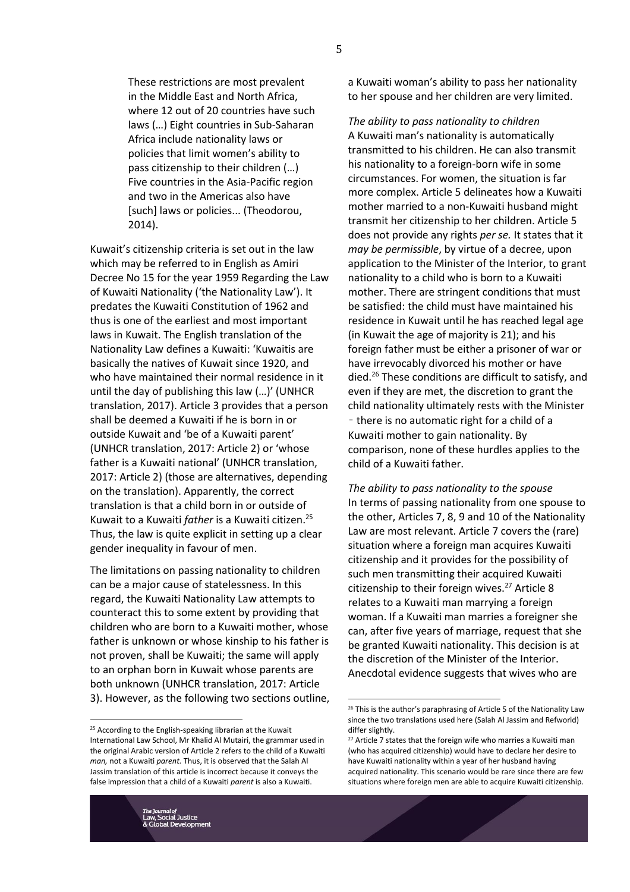These restrictions are most prevalent in the Middle East and North Africa, where 12 out of 20 countries have such laws (…) Eight countries in Sub-Saharan Africa include nationality laws or policies that limit women's ability to pass citizenship to their children (…) Five countries in the Asia-Pacific region and two in the Americas also have [such] laws or policies... (Theodorou, 2014).

Kuwait's citizenship criteria is set out in the law which may be referred to in English as Amiri Decree No 15 for the year 1959 Regarding the Law of Kuwaiti Nationality ('the Nationality Law'). It predates the Kuwaiti Constitution of 1962 and thus is one of the earliest and most important laws in Kuwait. The English translation of the Nationality Law defines a Kuwaiti: 'Kuwaitis are basically the natives of Kuwait since 1920, and who have maintained their normal residence in it until the day of publishing this law (…)' (UNHCR translation, 2017). Article 3 provides that a person shall be deemed a Kuwaiti if he is born in or outside Kuwait and 'be of a Kuwaiti parent' (UNHCR translation, 2017: Article 2) or 'whose father is a Kuwaiti national' (UNHCR translation, 2017: Article 2) (those are alternatives, depending on the translation). Apparently, the correct translation is that a child born in or outside of Kuwait to a Kuwaiti *father* is a Kuwaiti citizen.<sup>25</sup> Thus, the law is quite explicit in setting up a clear gender inequality in favour of men.

The limitations on passing nationality to children can be a major cause of statelessness. In this regard, the Kuwaiti Nationality Law attempts to counteract this to some extent by providing that children who are born to a Kuwaiti mother, whose father is unknown or whose kinship to his father is not proven, shall be Kuwaiti; the same will apply to an orphan born in Kuwait whose parents are both unknown (UNHCR translation, 2017: Article 3). However, as the following two sections outline,

<sup>25</sup> According to the English-speaking librarian at the Kuwait International Law School, Mr Khalid Al Mutairi, the grammar used in the original Arabic version of Article 2 refers to the child of a Kuwaiti *man,* not a Kuwaiti *parent.* Thus, it is observed that the Salah Al Jassim translation of this article is incorrect because it conveys the false impression that a child of a Kuwaiti *parent* is also a Kuwaiti.

a Kuwaiti woman's ability to pass her nationality to her spouse and her children are very limited.

*The ability to pass nationality to children* A Kuwaiti man's nationality is automatically transmitted to his children. He can also transmit his nationality to a foreign-born wife in some circumstances. For women, the situation is far more complex. Article 5 delineates how a Kuwaiti mother married to a non-Kuwaiti husband might transmit her citizenship to her children. Article 5 does not provide any rights *per se.* It states that it *may be permissible*, by virtue of a decree, upon application to the Minister of the Interior, to grant nationality to a child who is born to a Kuwaiti mother. There are stringent conditions that must be satisfied: the child must have maintained his residence in Kuwait until he has reached legal age (in Kuwait the age of majority is 21); and his foreign father must be either a prisoner of war or have irrevocably divorced his mother or have died.<sup>26</sup> These conditions are difficult to satisfy, and even if they are met, the discretion to grant the child nationality ultimately rests with the Minister – there is no automatic right for a child of a Kuwaiti mother to gain nationality. By comparison, none of these hurdles applies to the child of a Kuwaiti father.

*The ability to pass nationality to the spouse* In terms of passing nationality from one spouse to the other, Articles 7, 8, 9 and 10 of the Nationality Law are most relevant. Article 7 covers the (rare) situation where a foreign man acquires Kuwaiti citizenship and it provides for the possibility of such men transmitting their acquired Kuwaiti citizenship to their foreign wives.<sup>27</sup> Article 8 relates to a Kuwaiti man marrying a foreign woman. If a Kuwaiti man marries a foreigner she can, after five years of marriage, request that she be granted Kuwaiti nationality. This decision is at the discretion of the Minister of the Interior. Anecdotal evidence suggests that wives who are

l

<sup>&</sup>lt;sup>26</sup> This is the author's paraphrasing of Article 5 of the Nationality Law since the two translations used here (Salah Al Jassim and Refworld) differ slightly.

 $27$  Article 7 states that the foreign wife who marries a Kuwaiti man (who has acquired citizenship) would have to declare her desire to have Kuwaiti nationality within a year of her husband having acquired nationality. This scenario would be rare since there are few situations where foreign men are able to acquire Kuwaiti citizenship.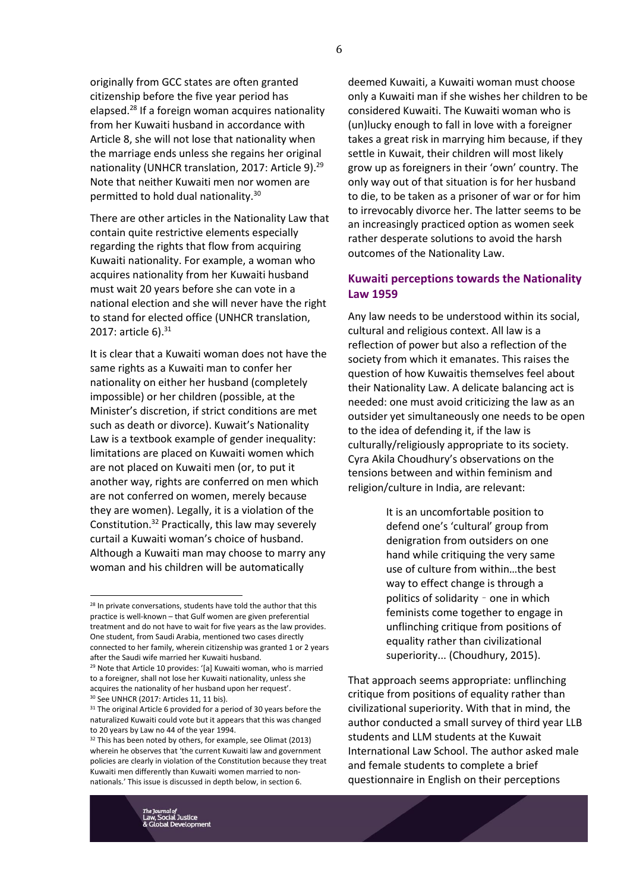originally from GCC states are often granted citizenship before the five year period has elapsed.<sup>28</sup> If a foreign woman acquires nationality from her Kuwaiti husband in accordance with Article 8, she will not lose that nationality when the marriage ends unless she regains her original nationality (UNHCR translation, 2017: Article 9).<sup>29</sup> Note that neither Kuwaiti men nor women are permitted to hold dual nationality.<sup>30</sup>

There are other articles in the Nationality Law that contain quite restrictive elements especially regarding the rights that flow from acquiring Kuwaiti nationality. For example, a woman who acquires nationality from her Kuwaiti husband must wait 20 years before she can vote in a national election and she will never have the right to stand for elected office (UNHCR translation, 2017: article 6). 31

It is clear that a Kuwaiti woman does not have the same rights as a Kuwaiti man to confer her nationality on either her husband (completely impossible) or her children (possible, at the Minister's discretion, if strict conditions are met such as death or divorce). Kuwait's Nationality Law is a textbook example of gender inequality: limitations are placed on Kuwaiti women which are not placed on Kuwaiti men (or, to put it another way, rights are conferred on men which are not conferred on women, merely because they are women). Legally, it is a violation of the Constitution.<sup>32</sup> Practically, this law may severely curtail a Kuwaiti woman's choice of husband. Although a Kuwaiti man may choose to marry any woman and his children will be automatically

 $\overline{a}$ 

deemed Kuwaiti, a Kuwaiti woman must choose only a Kuwaiti man if she wishes her children to be considered Kuwaiti. The Kuwaiti woman who is (un)lucky enough to fall in love with a foreigner takes a great risk in marrying him because, if they settle in Kuwait, their children will most likely grow up as foreigners in their 'own' country. The only way out of that situation is for her husband to die, to be taken as a prisoner of war or for him to irrevocably divorce her. The latter seems to be an increasingly practiced option as women seek rather desperate solutions to avoid the harsh outcomes of the Nationality Law.

# **Kuwaiti perceptions towards the Nationality Law 1959**

Any law needs to be understood within its social, cultural and religious context. All law is a reflection of power but also a reflection of the society from which it emanates. This raises the question of how Kuwaitis themselves feel about their Nationality Law. A delicate balancing act is needed: one must avoid criticizing the law as an outsider yet simultaneously one needs to be open to the idea of defending it, if the law is culturally/religiously appropriate to its society. Cyra Akila Choudhury's observations on the tensions between and within feminism and religion/culture in India, are relevant:

> It is an uncomfortable position to defend one's 'cultural' group from denigration from outsiders on one hand while critiquing the very same use of culture from within…the best way to effect change is through a politics of solidarity – one in which feminists come together to engage in unflinching critique from positions of equality rather than civilizational superiority... (Choudhury, 2015).

That approach seems appropriate: unflinching critique from positions of equality rather than civilizational superiority. With that in mind, the author conducted a small survey of third year LLB students and LLM students at the Kuwait International Law School. The author asked male and female students to complete a brief questionnaire in English on their perceptions

<sup>&</sup>lt;sup>28</sup> In private conversations, students have told the author that this practice is well-known – that Gulf women are given preferential treatment and do not have to wait for five years as the law provides. One student, from Saudi Arabia, mentioned two cases directly connected to her family, wherein citizenship was granted 1 or 2 years after the Saudi wife married her Kuwaiti husband.

<sup>&</sup>lt;sup>29</sup> Note that Article 10 provides: '[a] Kuwaiti woman, who is married to a foreigner, shall not lose her Kuwaiti nationality, unless she acquires the nationality of her husband upon her request'. <sup>30</sup> See UNHCR (2017: Articles 11, 11 bis).

<sup>&</sup>lt;sup>31</sup> The original Article 6 provided for a period of 30 years before the naturalized Kuwaiti could vote but it appears that this was changed to 20 years by Law no 44 of the year 1994.

 $32$  This has been noted by others, for example, see Olimat (2013) wherein he observes that 'the current Kuwaiti law and government policies are clearly in violation of the Constitution because they treat Kuwaiti men differently than Kuwaiti women married to nonnationals.' This issue is discussed in depth below, in section 6.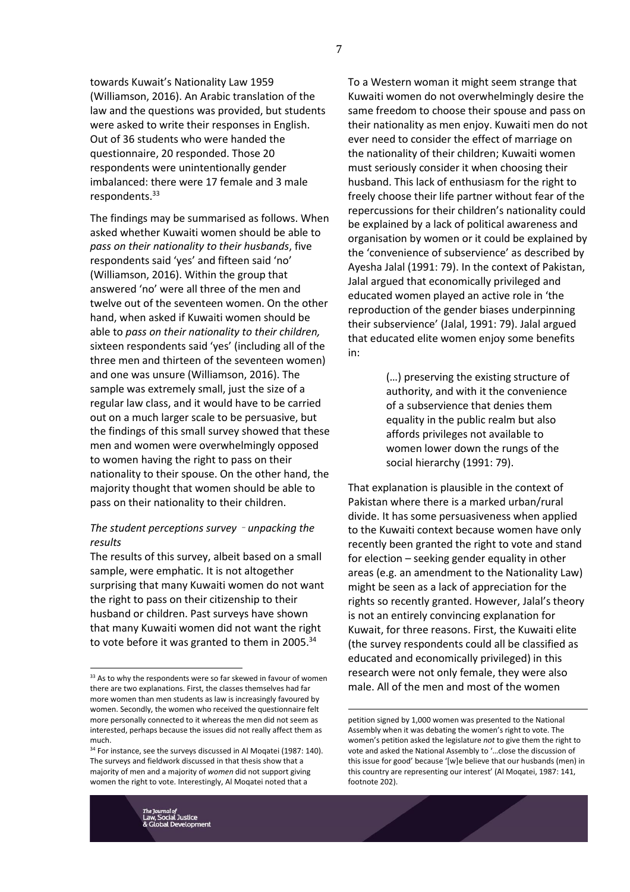towards Kuwait's Nationality Law 1959 (Williamson, 2016). An Arabic translation of the law and the questions was provided, but students were asked to write their responses in English. Out of 36 students who were handed the questionnaire, 20 responded. Those 20 respondents were unintentionally gender imbalanced: there were 17 female and 3 male respondents.<sup>33</sup>

The findings may be summarised as follows. When asked whether Kuwaiti women should be able to *pass on their nationality to their husbands*, five respondents said 'yes' and fifteen said 'no' (Williamson, 2016). Within the group that answered 'no' were all three of the men and twelve out of the seventeen women. On the other hand, when asked if Kuwaiti women should be able to *pass on their nationality to their children,* sixteen respondents said 'yes' (including all of the three men and thirteen of the seventeen women) and one was unsure (Williamson, 2016). The sample was extremely small, just the size of a regular law class, and it would have to be carried out on a much larger scale to be persuasive, but the findings of this small survey showed that these men and women were overwhelmingly opposed to women having the right to pass on their nationality to their spouse. On the other hand, the majority thought that women should be able to pass on their nationality to their children.

## *The student perceptions survey* – *unpacking the results*

The results of this survey, albeit based on a small sample, were emphatic. It is not altogether surprising that many Kuwaiti women do not want the right to pass on their citizenship to their husband or children. Past surveys have shown that many Kuwaiti women did not want the right to vote before it was granted to them in 2005.<sup>34</sup>

To a Western woman it might seem strange that Kuwaiti women do not overwhelmingly desire the same freedom to choose their spouse and pass on their nationality as men enjoy. Kuwaiti men do not ever need to consider the effect of marriage on the nationality of their children; Kuwaiti women must seriously consider it when choosing their husband. This lack of enthusiasm for the right to freely choose their life partner without fear of the repercussions for their children's nationality could be explained by a lack of political awareness and organisation by women or it could be explained by the 'convenience of subservience' as described by Ayesha Jalal (1991: 79). In the context of Pakistan, Jalal argued that economically privileged and educated women played an active role in 'the reproduction of the gender biases underpinning their subservience' (Jalal, 1991: 79). Jalal argued that educated elite women enjoy some benefits in:

> (…) preserving the existing structure of authority, and with it the convenience of a subservience that denies them equality in the public realm but also affords privileges not available to women lower down the rungs of the social hierarchy (1991: 79).

That explanation is plausible in the context of Pakistan where there is a marked urban/rural divide. It has some persuasiveness when applied to the Kuwaiti context because women have only recently been granted the right to vote and stand for election – seeking gender equality in other areas (e.g. an amendment to the Nationality Law) might be seen as a lack of appreciation for the rights so recently granted. However, Jalal's theory is not an entirely convincing explanation for Kuwait, for three reasons. First, the Kuwaiti elite (the survey respondents could all be classified as educated and economically privileged) in this research were not only female, they were also male. All of the men and most of the women

<u>.</u>

<sup>33</sup> As to why the respondents were so far skewed in favour of women there are two explanations. First, the classes themselves had far more women than men students as law is increasingly favoured by women. Secondly, the women who received the questionnaire felt more personally connected to it whereas the men did not seem as interested, perhaps because the issues did not really affect them as much.

<sup>&</sup>lt;sup>34</sup> For instance, see the surveys discussed in Al Moqatei (1987: 140). The surveys and fieldwork discussed in that thesis show that a majority of men and a majority of *women* did not support giving women the right to vote. Interestingly, Al Moqatei noted that a

petition signed by 1,000 women was presented to the National Assembly when it was debating the women's right to vote. The women's petition asked the legislature *not* to give them the right to vote and asked the National Assembly to '…close the discussion of this issue for good' because '[w]e believe that our husbands (men) in this country are representing our interest' (Al Moqatei, 1987: 141, footnote 202).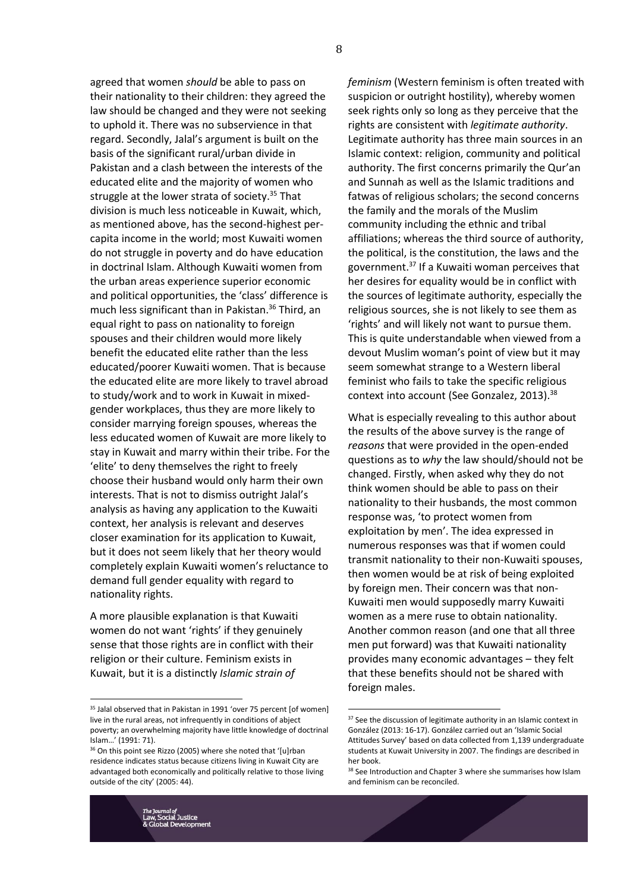agreed that women *should* be able to pass on their nationality to their children: they agreed the law should be changed and they were not seeking to uphold it. There was no subservience in that regard. Secondly, Jalal's argument is built on the basis of the significant rural/urban divide in Pakistan and a clash between the interests of the educated elite and the majority of women who struggle at the lower strata of society.<sup>35</sup> That division is much less noticeable in Kuwait, which, as mentioned above, has the second-highest percapita income in the world; most Kuwaiti women do not struggle in poverty and do have education in doctrinal Islam. Although Kuwaiti women from the urban areas experience superior economic and political opportunities, the 'class' difference is much less significant than in Pakistan.<sup>36</sup> Third, an equal right to pass on nationality to foreign spouses and their children would more likely benefit the educated elite rather than the less educated/poorer Kuwaiti women. That is because the educated elite are more likely to travel abroad to study/work and to work in Kuwait in mixedgender workplaces, thus they are more likely to consider marrying foreign spouses, whereas the less educated women of Kuwait are more likely to stay in Kuwait and marry within their tribe. For the 'elite' to deny themselves the right to freely choose their husband would only harm their own interests. That is not to dismiss outright Jalal's analysis as having any application to the Kuwaiti context, her analysis is relevant and deserves closer examination for its application to Kuwait, but it does not seem likely that her theory would completely explain Kuwaiti women's reluctance to demand full gender equality with regard to nationality rights.

A more plausible explanation is that Kuwaiti women do not want 'rights' if they genuinely sense that those rights are in conflict with their religion or their culture. Feminism exists in Kuwait, but it is a distinctly *Islamic strain of* 

*feminism* (Western feminism is often treated with suspicion or outright hostility), whereby women seek rights only so long as they perceive that the rights are consistent with *legitimate authority*. Legitimate authority has three main sources in an Islamic context: religion, community and political authority. The first concerns primarily the Qur'an and Sunnah as well as the Islamic traditions and fatwas of religious scholars; the second concerns the family and the morals of the Muslim community including the ethnic and tribal affiliations; whereas the third source of authority, the political, is the constitution, the laws and the government.<sup>37</sup> If a Kuwaiti woman perceives that her desires for equality would be in conflict with the sources of legitimate authority, especially the religious sources, she is not likely to see them as 'rights' and will likely not want to pursue them. This is quite understandable when viewed from a devout Muslim woman's point of view but it may seem somewhat strange to a Western liberal feminist who fails to take the specific religious context into account (See Gonzalez, 2013). 38

What is especially revealing to this author about the results of the above survey is the range of *reasons* that were provided in the open-ended questions as to *why* the law should/should not be changed. Firstly, when asked why they do not think women should be able to pass on their nationality to their husbands, the most common response was, 'to protect women from exploitation by men'. The idea expressed in numerous responses was that if women could transmit nationality to their non-Kuwaiti spouses, then women would be at risk of being exploited by foreign men. Their concern was that non-Kuwaiti men would supposedly marry Kuwaiti women as a mere ruse to obtain nationality. Another common reason (and one that all three men put forward) was that Kuwaiti nationality provides many economic advantages – they felt that these benefits should not be shared with foreign males.

l

<sup>&</sup>lt;sup>35</sup> Jalal observed that in Pakistan in 1991 'over 75 percent [of women] live in the rural areas, not infrequently in conditions of abject poverty; an overwhelming majority have little knowledge of doctrinal Islam…' (1991: 71).

<sup>36</sup> On this point see Rizzo (2005) where she noted that '[u]rban residence indicates status because citizens living in Kuwait City are advantaged both economically and politically relative to those living outside of the city' (2005: 44).

<sup>&</sup>lt;sup>37</sup> See the discussion of legitimate authority in an Islamic context in González (2013: 16-17). González carried out an 'Islamic Social Attitudes Survey' based on data collected from 1,139 undergraduate students at Kuwait University in 2007. The findings are described in her book.

<sup>&</sup>lt;sup>38</sup> See Introduction and Chapter 3 where she summarises how Islam and feminism can be reconciled.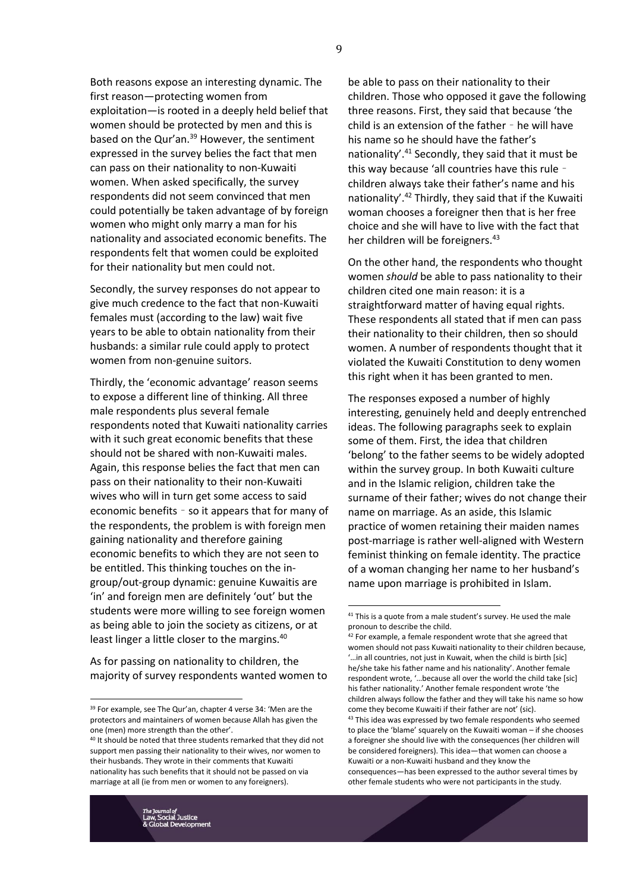Both reasons expose an interesting dynamic. The first reason—protecting women from exploitation—is rooted in a deeply held belief that women should be protected by men and this is based on the Qur'an.<sup>39</sup> However, the sentiment expressed in the survey belies the fact that men can pass on their nationality to non-Kuwaiti women. When asked specifically, the survey respondents did not seem convinced that men could potentially be taken advantage of by foreign women who might only marry a man for his nationality and associated economic benefits. The respondents felt that women could be exploited for their nationality but men could not.

Secondly, the survey responses do not appear to give much credence to the fact that non-Kuwaiti females must (according to the law) wait five years to be able to obtain nationality from their husbands: a similar rule could apply to protect women from non-genuine suitors.

Thirdly, the 'economic advantage' reason seems to expose a different line of thinking. All three male respondents plus several female respondents noted that Kuwaiti nationality carries with it such great economic benefits that these should not be shared with non-Kuwaiti males. Again, this response belies the fact that men can pass on their nationality to their non-Kuwaiti wives who will in turn get some access to said economic benefits – so it appears that for many of the respondents, the problem is with foreign men gaining nationality and therefore gaining economic benefits to which they are not seen to be entitled. This thinking touches on the ingroup/out-group dynamic: genuine Kuwaitis are 'in' and foreign men are definitely 'out' but the students were more willing to see foreign women as being able to join the society as citizens, or at least linger a little closer to the margins.<sup>40</sup>

As for passing on nationality to children, the majority of survey respondents wanted women to

be able to pass on their nationality to their children. Those who opposed it gave the following three reasons. First, they said that because 'the child is an extension of the father – he will have his name so he should have the father's nationality'.<sup>41</sup> Secondly, they said that it must be this way because 'all countries have this rule – children always take their father's name and his nationality'.<sup>42</sup> Thirdly, they said that if the Kuwaiti woman chooses a foreigner then that is her free choice and she will have to live with the fact that her children will be foreigners.<sup>43</sup>

On the other hand, the respondents who thought women *should* be able to pass nationality to their children cited one main reason: it is a straightforward matter of having equal rights. These respondents all stated that if men can pass their nationality to their children, then so should women. A number of respondents thought that it violated the Kuwaiti Constitution to deny women this right when it has been granted to men.

The responses exposed a number of highly interesting, genuinely held and deeply entrenched ideas. The following paragraphs seek to explain some of them. First, the idea that children 'belong' to the father seems to be widely adopted within the survey group. In both Kuwaiti culture and in the Islamic religion, children take the surname of their father; wives do not change their name on marriage. As an aside, this Islamic practice of women retaining their maiden names post-marriage is rather well-aligned with Western feminist thinking on female identity. The practice of a woman changing her name to her husband's name upon marriage is prohibited in Islam.

l

<sup>39</sup> For example, see The Qur'an, chapter 4 verse 34: 'Men are the protectors and maintainers of women because Allah has given the one (men) more strength than the other'.

<sup>&</sup>lt;sup>40</sup> It should be noted that three students remarked that they did not support men passing their nationality to their wives, nor women to their husbands. They wrote in their comments that Kuwaiti nationality has such benefits that it should not be passed on via marriage at all (ie from men or women to any foreigners).

 $41$  This is a quote from a male student's survey. He used the male pronoun to describe the child.

 $42$  For example, a female respondent wrote that she agreed that women should not pass Kuwaiti nationality to their children because, '…in all countries, not just in Kuwait, when the child is birth [sic] he/she take his father name and his nationality'. Another female respondent wrote, '…because all over the world the child take [sic] his father nationality.' Another female respondent wrote 'the children always follow the father and they will take his name so how come they become Kuwaiti if their father are not' (sic). 43 This idea was expressed by two female respondents who seemed to place the 'blame' squarely on the Kuwaiti woman – if she chooses a foreigner she should live with the consequences (her children will

be considered foreigners). This idea—that women can choose a Kuwaiti or a non-Kuwaiti husband and they know the consequences—has been expressed to the author several times by other female students who were not participants in the study.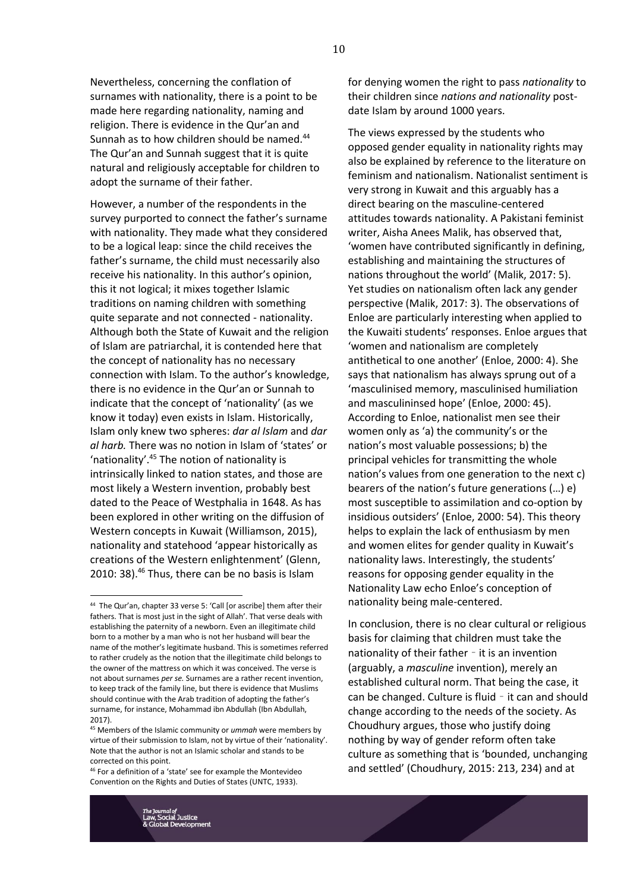Nevertheless, concerning the conflation of surnames with nationality, there is a point to be made here regarding nationality, naming and religion. There is evidence in the Qur'an and Sunnah as to how children should be named.<sup>44</sup> The Qur'an and Sunnah suggest that it is quite natural and religiously acceptable for children to adopt the surname of their father.

However, a number of the respondents in the survey purported to connect the father's surname with nationality. They made what they considered to be a logical leap: since the child receives the father's surname, the child must necessarily also receive his nationality. In this author's opinion, this it not logical; it mixes together Islamic traditions on naming children with something quite separate and not connected - nationality. Although both the State of Kuwait and the religion of Islam are patriarchal, it is contended here that the concept of nationality has no necessary connection with Islam. To the author's knowledge, there is no evidence in the Qur'an or Sunnah to indicate that the concept of 'nationality' (as we know it today) even exists in Islam. Historically, Islam only knew two spheres: *dar al Islam* and *dar al harb.* There was no notion in Islam of 'states' or 'nationality'.<sup>45</sup> The notion of nationality is intrinsically linked to nation states, and those are most likely a Western invention, probably best dated to the Peace of Westphalia in 1648. As has been explored in other writing on the diffusion of Western concepts in Kuwait (Williamson, 2015), nationality and statehood 'appear historically as creations of the Western enlightenment' (Glenn, 2010: 38). <sup>46</sup> Thus, there can be no basis is Islam

for denying women the right to pass *nationality* to their children since *nations and nationality* postdate Islam by around 1000 years.

The views expressed by the students who opposed gender equality in nationality rights may also be explained by reference to the literature on feminism and nationalism. Nationalist sentiment is very strong in Kuwait and this arguably has a direct bearing on the masculine-centered attitudes towards nationality. A Pakistani feminist writer, Aisha Anees Malik, has observed that, 'women have contributed significantly in defining, establishing and maintaining the structures of nations throughout the world' (Malik, 2017: 5). Yet studies on nationalism often lack any gender perspective (Malik, 2017: 3). The observations of Enloe are particularly interesting when applied to the Kuwaiti students' responses. Enloe argues that 'women and nationalism are completely antithetical to one another' (Enloe, 2000: 4). She says that nationalism has always sprung out of a 'masculinised memory, masculinised humiliation and masculininsed hope' (Enloe, 2000: 45). According to Enloe, nationalist men see their women only as 'a) the community's or the nation's most valuable possessions; b) the principal vehicles for transmitting the whole nation's values from one generation to the next c) bearers of the nation's future generations (…) e) most susceptible to assimilation and co-option by insidious outsiders' (Enloe, 2000: 54). This theory helps to explain the lack of enthusiasm by men and women elites for gender quality in Kuwait's nationality laws. Interestingly, the students' reasons for opposing gender equality in the Nationality Law echo Enloe's conception of nationality being male-centered.

In conclusion, there is no clear cultural or religious basis for claiming that children must take the nationality of their father – it is an invention (arguably, a *masculine* invention), merely an established cultural norm. That being the case, it can be changed. Culture is fluid – it can and should change according to the needs of the society. As Choudhury argues, those who justify doing nothing by way of gender reform often take culture as something that is 'bounded, unchanging and settled' (Choudhury, 2015: 213, 234) and at

 $\overline{a}$ 

<sup>44</sup> The Qur'an, chapter 33 verse 5: 'Call [or ascribe] them after their fathers. That is most just in the sight of Allah'. That verse deals with establishing the paternity of a newborn. Even an illegitimate child born to a mother by a man who is not her husband will bear the name of the mother's legitimate husband. This is sometimes referred to rather crudely as the notion that the illegitimate child belongs to the owner of the mattress on which it was conceived. The verse is not about surnames *per se.* Surnames are a rather recent invention, to keep track of the family line, but there is evidence that Muslims should continue with the Arab tradition of adopting the father's surname, for instance, Mohammad ibn Abdullah (Ibn Abdullah, 2017).

<sup>45</sup> Members of the Islamic community or *ummah* were members by virtue of their submission to Islam, not by virtue of their 'nationality'. Note that the author is not an Islamic scholar and stands to be corrected on this point.

<sup>46</sup> For a definition of a 'state' see for example the Montevideo Convention on the Rights and Duties of States (UNTC, 1933).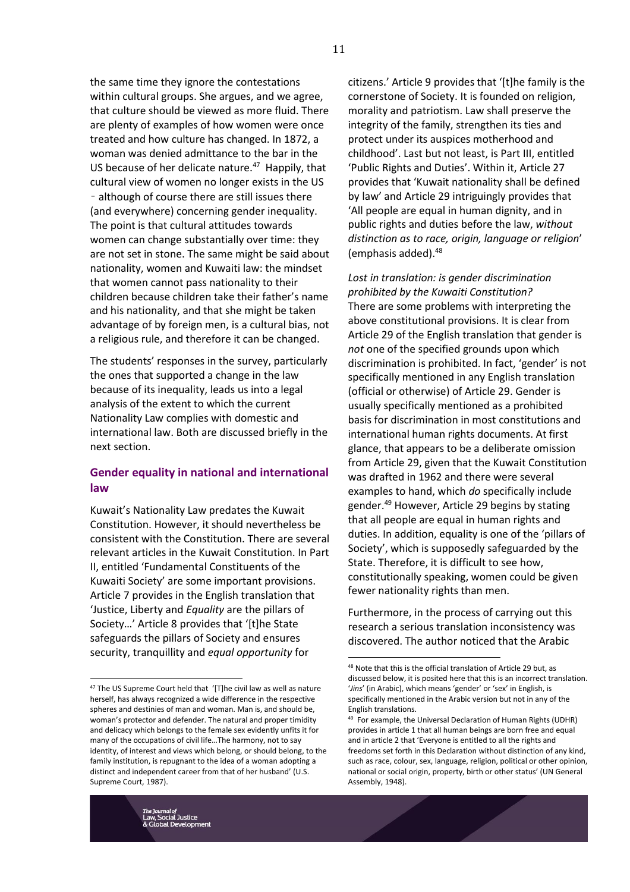the same time they ignore the contestations within cultural groups. She argues, and we agree, that culture should be viewed as more fluid. There are plenty of examples of how women were once treated and how culture has changed. In 1872, a woman was denied admittance to the bar in the US because of her delicate nature.<sup>47</sup> Happily, that cultural view of women no longer exists in the US – although of course there are still issues there (and everywhere) concerning gender inequality. The point is that cultural attitudes towards women can change substantially over time: they are not set in stone. The same might be said about nationality, women and Kuwaiti law: the mindset that women cannot pass nationality to their children because children take their father's name and his nationality, and that she might be taken advantage of by foreign men, is a cultural bias, not a religious rule, and therefore it can be changed.

The students' responses in the survey, particularly the ones that supported a change in the law because of its inequality, leads us into a legal analysis of the extent to which the current Nationality Law complies with domestic and international law. Both are discussed briefly in the next section.

# **Gender equality in national and international law**

Kuwait's Nationality Law predates the Kuwait Constitution. However, it should nevertheless be consistent with the Constitution. There are several relevant articles in the Kuwait Constitution. In Part II, entitled 'Fundamental Constituents of the Kuwaiti Society' are some important provisions. Article 7 provides in the English translation that 'Justice, Liberty and *Equality* are the pillars of Society…' Article 8 provides that '[t]he State safeguards the pillars of Society and ensures security, tranquillity and *equal opportunity* for

citizens.' Article 9 provides that '[t]he family is the cornerstone of Society. It is founded on religion, morality and patriotism. Law shall preserve the integrity of the family, strengthen its ties and protect under its auspices motherhood and childhood'. Last but not least, is Part III, entitled 'Public Rights and Duties'. Within it, Article 27 provides that 'Kuwait nationality shall be defined by law' and Article 29 intriguingly provides that 'All people are equal in human dignity, and in public rights and duties before the law, *without distinction as to race, origin, language or religion*' (emphasis added).<sup>48</sup>

*Lost in translation: is gender discrimination prohibited by the Kuwaiti Constitution?* There are some problems with interpreting the above constitutional provisions. It is clear from Article 29 of the English translation that gender is *not* one of the specified grounds upon which discrimination is prohibited. In fact, 'gender' is not specifically mentioned in any English translation (official or otherwise) of Article 29. Gender is usually specifically mentioned as a prohibited basis for discrimination in most constitutions and international human rights documents. At first glance, that appears to be a deliberate omission from Article 29, given that the Kuwait Constitution was drafted in 1962 and there were several examples to hand, which *do* specifically include gender.<sup>49</sup> However, Article 29 begins by stating that all people are equal in human rights and duties. In addition, equality is one of the 'pillars of Society', which is supposedly safeguarded by the State. Therefore, it is difficult to see how, constitutionally speaking, women could be given fewer nationality rights than men.

Furthermore, in the process of carrying out this research a serious translation inconsistency was discovered. The author noticed that the Arabic

l

<sup>&</sup>lt;sup>47</sup> The US Supreme Court held that '[T]he civil law as well as nature herself, has always recognized a wide difference in the respective spheres and destinies of man and woman. Man is, and should be, woman's protector and defender. The natural and proper timidity and delicacy which belongs to the female sex evidently unfits it for many of the occupations of civil life…The harmony, not to say identity, of interest and views which belong, or should belong, to the family institution, is repugnant to the idea of a woman adopting a distinct and independent career from that of her husband' (U.S. Supreme Court, 1987).

<sup>48</sup> Note that this is the official translation of Article 29 but, as discussed below, it is posited here that this is an incorrect translation. '*Jins*' (in Arabic), which means 'gender' or 'sex' in English, is specifically mentioned in the Arabic version but not in any of the English translations.

<sup>49</sup> For example, the Universal Declaration of Human Rights (UDHR) provides in article 1 that all human beings are born free and equal and in article 2 that 'Everyone is entitled to all the rights and freedoms set forth in this Declaration without distinction of any kind, such as race, colour, sex, language, religion, political or other opinion, national or social origin, property, birth or other status' (UN General Assembly, 1948).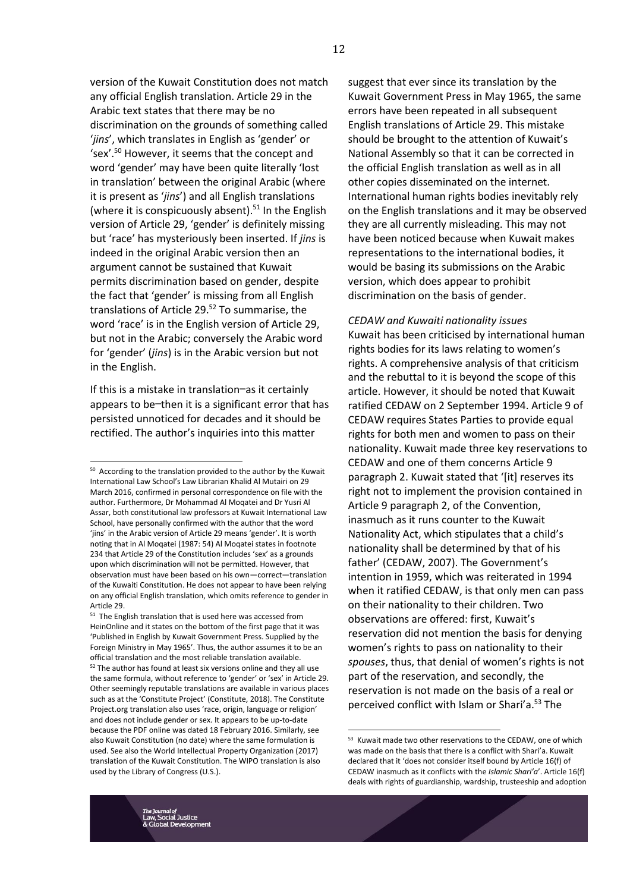version of the Kuwait Constitution does not match any official English translation. Article 29 in the Arabic text states that there may be no discrimination on the grounds of something called '*jins*', which translates in English as 'gender' or 'sex'.<sup>50</sup> However, it seems that the concept and word 'gender' may have been quite literally 'lost in translation' between the original Arabic (where it is present as '*jins*') and all English translations (where it is conspicuously absent). $51$  In the English version of Article 29, 'gender' is definitely missing but 'race' has mysteriously been inserted. If *jins* is indeed in the original Arabic version then an argument cannot be sustained that Kuwait permits discrimination based on gender, despite the fact that 'gender' is missing from all English translations of Article 29.<sup>52</sup> To summarise, the word 'race' is in the English version of Article 29, but not in the Arabic; conversely the Arabic word for 'gender' (*jins*) is in the Arabic version but not in the English.

If this is a mistake in translation—as it certainly appears to be—then it is a significant error that has persisted unnoticed for decades and it should be rectified. The author's inquiries into this matter

<u>.</u>

suggest that ever since its translation by the Kuwait Government Press in May 1965, the same errors have been repeated in all subsequent English translations of Article 29. This mistake should be brought to the attention of Kuwait's National Assembly so that it can be corrected in the official English translation as well as in all other copies disseminated on the internet. International human rights bodies inevitably rely on the English translations and it may be observed they are all currently misleading. This may not have been noticed because when Kuwait makes representations to the international bodies, it would be basing its submissions on the Arabic version, which does appear to prohibit discrimination on the basis of gender.

*CEDAW and Kuwaiti nationality issues* Kuwait has been criticised by international human rights bodies for its laws relating to women's rights. A comprehensive analysis of that criticism and the rebuttal to it is beyond the scope of this article. However, it should be noted that Kuwait ratified CEDAW on 2 September 1994. Article 9 of CEDAW requires States Parties to provide equal rights for both men and women to pass on their nationality. Kuwait made three key reservations to CEDAW and one of them concerns Article 9 paragraph 2. Kuwait stated that '[it] reserves its right not to implement the provision contained in Article 9 paragraph 2, of the Convention, inasmuch as it runs counter to the Kuwait Nationality Act, which stipulates that a child's nationality shall be determined by that of his father' (CEDAW, 2007). The Government's intention in 1959, which was reiterated in 1994 when it ratified CEDAW, is that only men can pass on their nationality to their children. Two observations are offered: first, Kuwait's reservation did not mention the basis for denying women's rights to pass on nationality to their *spouses*, thus, that denial of women's rights is not part of the reservation, and secondly, the reservation is not made on the basis of a real or perceived conflict with Islam or Shari'a.<sup>53</sup> The

<sup>50</sup> According to the translation provided to the author by the Kuwait International Law School's Law Librarian Khalid Al Mutairi on 29 March 2016, confirmed in personal correspondence on file with the author. Furthermore, Dr Mohammad Al Moqatei and Dr Yusri Al Assar, both constitutional law professors at Kuwait International Law School, have personally confirmed with the author that the word 'jins' in the Arabic version of Article 29 means 'gender'. It is worth noting that in Al Moqatei (1987: 54) Al Moqatei states in footnote 234 that Article 29 of the Constitution includes 'sex' as a grounds upon which discrimination will not be permitted. However, that observation must have been based on his own—correct—translation of the Kuwaiti Constitution. He does not appear to have been relying on any official English translation, which omits reference to gender in Article 29.

<sup>51</sup> The English translation that is used here was accessed from HeinOnline and it states on the bottom of the first page that it was 'Published in English by Kuwait Government Press. Supplied by the Foreign Ministry in May 1965'. Thus, the author assumes it to be an official translation and the most reliable translation available. <sup>52</sup> The author has found at least six versions online and they all use the same formula, without reference to 'gender' or 'sex' in Article 29. Other seemingly reputable translations are available in various places such as at the 'Constitute Project' (Constitute, 2018). The Constitute Project.org translation also uses 'race, origin, language or religion' and does not include gender or sex. It appears to be up-to-date because the PDF online was dated 18 February 2016. Similarly, see also Kuwait Constitution (no date) where the same formulation is used. See also the World Intellectual Property Organization (2017) translation of the Kuwait Constitution. The WIPO translation is also used by the Library of Congress (U.S.).

<sup>53</sup> Kuwait made two other reservations to the CEDAW, one of which was made on the basis that there is a conflict with Shari'a. Kuwait declared that it 'does not consider itself bound by Article 16(f) of CEDAW inasmuch as it conflicts with the *Islamic Shari'a*'. Article 16(f) deals with rights of guardianship, wardship, trusteeship and adoption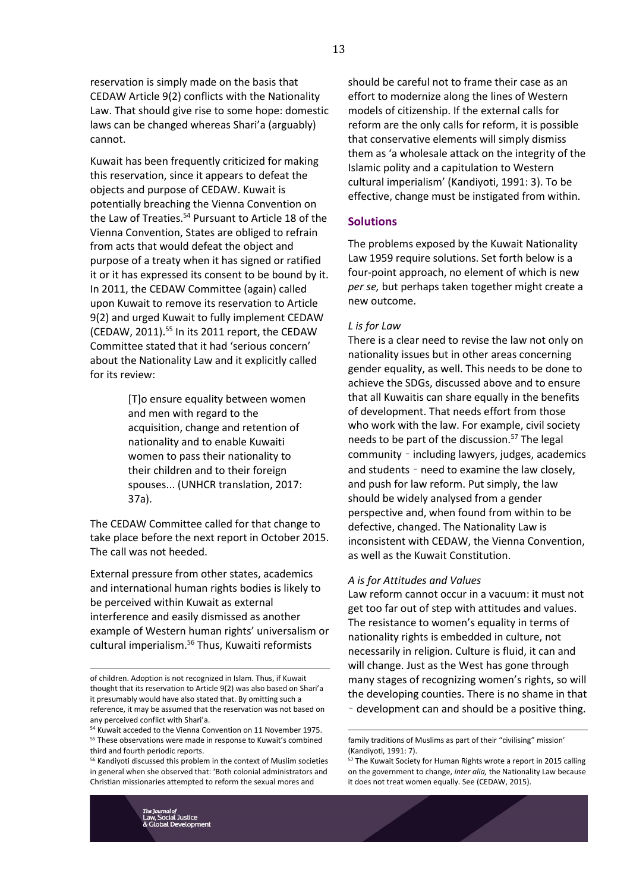reservation is simply made on the basis that CEDAW Article 9(2) conflicts with the Nationality Law. That should give rise to some hope: domestic laws can be changed whereas Shari'a (arguably) cannot.

Kuwait has been frequently criticized for making this reservation, since it appears to defeat the objects and purpose of CEDAW. Kuwait is potentially breaching the Vienna Convention on the Law of Treaties.<sup>54</sup> Pursuant to Article 18 of the Vienna Convention, States are obliged to refrain from acts that would defeat the object and purpose of a treaty when it has signed or ratified it or it has expressed its consent to be bound by it. In 2011, the CEDAW Committee (again) called upon Kuwait to remove its reservation to Article 9(2) and urged Kuwait to fully implement CEDAW (CEDAW, 2011). <sup>55</sup> In its 2011 report, the CEDAW Committee stated that it had 'serious concern' about the Nationality Law and it explicitly called for its review:

> [T]o ensure equality between women and men with regard to the acquisition, change and retention of nationality and to enable Kuwaiti women to pass their nationality to their children and to their foreign spouses... (UNHCR translation, 2017: 37a).

The CEDAW Committee called for that change to take place before the next report in October 2015. The call was not heeded.

External pressure from other states, academics and international human rights bodies is likely to be perceived within Kuwait as external interference and easily dismissed as another example of Western human rights' universalism or cultural imperialism.<sup>56</sup> Thus, Kuwaiti reformists

should be careful not to frame their case as an effort to modernize along the lines of Western models of citizenship. If the external calls for reform are the only calls for reform, it is possible that conservative elements will simply dismiss them as 'a wholesale attack on the integrity of the Islamic polity and a capitulation to Western cultural imperialism' (Kandiyoti, 1991: 3). To be effective, change must be instigated from within.

# **Solutions**

The problems exposed by the Kuwait Nationality Law 1959 require solutions. Set forth below is a four-point approach, no element of which is new *per se,* but perhaps taken together might create a new outcome.

## *L is for Law*

There is a clear need to revise the law not only on nationality issues but in other areas concerning gender equality, as well. This needs to be done to achieve the SDGs, discussed above and to ensure that all Kuwaitis can share equally in the benefits of development. That needs effort from those who work with the law. For example, civil society needs to be part of the discussion.<sup>57</sup> The legal community – including lawyers, judges, academics and students – need to examine the law closely, and push for law reform. Put simply, the law should be widely analysed from a gender perspective and, when found from within to be defective, changed. The Nationality Law is inconsistent with CEDAW, the Vienna Convention, as well as the Kuwait Constitution.

## *A is for Attitudes and Values*

<u>.</u>

Law reform cannot occur in a vacuum: it must not get too far out of step with attitudes and values. The resistance to women's equality in terms of nationality rights is embedded in culture, not necessarily in religion. Culture is fluid, it can and will change. Just as the West has gone through many stages of recognizing women's rights, so will the developing counties. There is no shame in that – development can and should be a positive thing.

of children. Adoption is not recognized in Islam. Thus, if Kuwait thought that its reservation to Article 9(2) was also based on Shari'a it presumably would have also stated that. By omitting such a reference, it may be assumed that the reservation was not based on any perceived conflict with Shari'a.

<sup>54</sup> Kuwait acceded to the Vienna Convention on 11 November 1975. <sup>55</sup> These observations were made in response to Kuwait's combined third and fourth periodic reports.

<sup>56</sup> Kandiyoti discussed this problem in the context of Muslim societies in general when she observed that: 'Both colonial administrators and Christian missionaries attempted to reform the sexual mores and

family traditions of Muslims as part of their "civilising" mission' (Kandiyoti, 1991: 7).

<sup>&</sup>lt;sup>57</sup> The Kuwait Society for Human Rights wrote a report in 2015 calling on the government to change, *inter alia,* the Nationality Law because it does not treat women equally. See (CEDAW, 2015).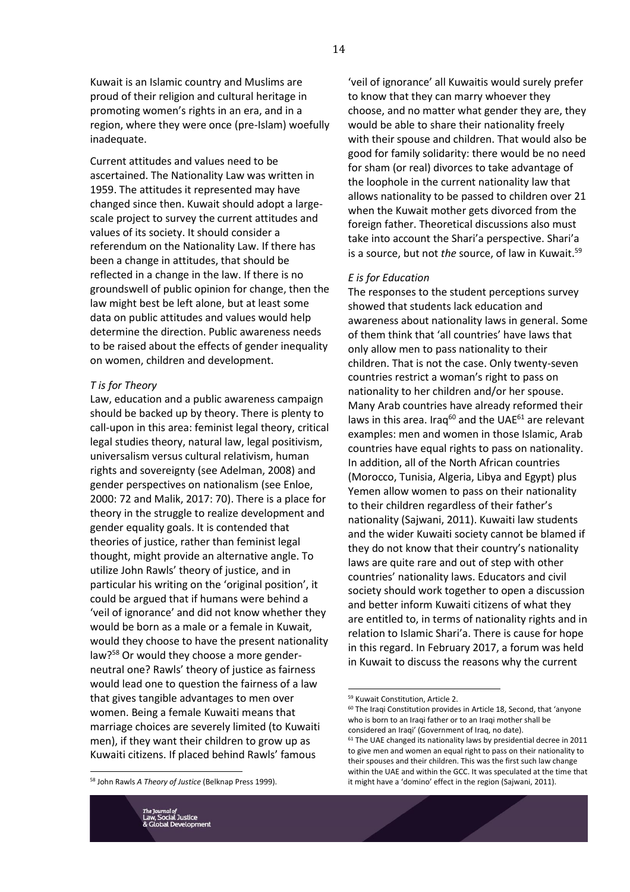Kuwait is an Islamic country and Muslims are proud of their religion and cultural heritage in promoting women's rights in an era, and in a region, where they were once (pre-Islam) woefully inadequate.

Current attitudes and values need to be ascertained. The Nationality Law was written in 1959. The attitudes it represented may have changed since then. Kuwait should adopt a largescale project to survey the current attitudes and values of its society. It should consider a referendum on the Nationality Law. If there has been a change in attitudes, that should be reflected in a change in the law. If there is no groundswell of public opinion for change, then the law might best be left alone, but at least some data on public attitudes and values would help determine the direction. Public awareness needs to be raised about the effects of gender inequality on women, children and development.

#### *T is for Theory*

Law, education and a public awareness campaign should be backed up by theory. There is plenty to call-upon in this area: feminist legal theory, critical legal studies theory, natural law, legal positivism, universalism versus cultural relativism, human rights and sovereignty (see Adelman, 2008) and gender perspectives on nationalism (see Enloe, 2000: 72 and Malik, 2017: 70). There is a place for theory in the struggle to realize development and gender equality goals. It is contended that theories of justice, rather than feminist legal thought, might provide an alternative angle. To utilize John Rawls' theory of justice, and in particular his writing on the 'original position', it could be argued that if humans were behind a 'veil of ignorance' and did not know whether they would be born as a male or a female in Kuwait, would they choose to have the present nationality law?<sup>58</sup> Or would they choose a more genderneutral one? Rawls' theory of justice as fairness would lead one to question the fairness of a law that gives tangible advantages to men over women. Being a female Kuwaiti means that marriage choices are severely limited (to Kuwaiti men), if they want their children to grow up as Kuwaiti citizens. If placed behind Rawls' famous

<sup>58</sup> John Rawls *A Theory of Justice* (Belknap Press 1999).

<u>.</u>

....<br>.ial Justice

'veil of ignorance' all Kuwaitis would surely prefer to know that they can marry whoever they choose, and no matter what gender they are, they would be able to share their nationality freely with their spouse and children. That would also be good for family solidarity: there would be no need for sham (or real) divorces to take advantage of the loophole in the current nationality law that allows nationality to be passed to children over 21 when the Kuwait mother gets divorced from the foreign father. Theoretical discussions also must take into account the Shari'a perspective. Shari'a is a source, but not *the* source, of law in Kuwait.<sup>59</sup>

#### *E is for Education*

The responses to the student perceptions survey showed that students lack education and awareness about nationality laws in general. Some of them think that 'all countries' have laws that only allow men to pass nationality to their children. That is not the case. Only twenty-seven countries restrict a woman's right to pass on nationality to her children and/or her spouse. Many Arab countries have already reformed their laws in this area. Iraq<sup>60</sup> and the UAE $61$  are relevant examples: men and women in those Islamic, Arab countries have equal rights to pass on nationality. In addition, all of the North African countries (Morocco, Tunisia, Algeria, Libya and Egypt) plus Yemen allow women to pass on their nationality to their children regardless of their father's nationality (Sajwani, 2011). Kuwaiti law students and the wider Kuwaiti society cannot be blamed if they do not know that their country's nationality laws are quite rare and out of step with other countries' nationality laws. Educators and civil society should work together to open a discussion and better inform Kuwaiti citizens of what they are entitled to, in terms of nationality rights and in relation to Islamic Shari'a. There is cause for hope in this regard. In February 2017, a forum was held in Kuwait to discuss the reasons why the current

<sup>59</sup> Kuwait Constitution, Article 2.

 $60$  The Iraqi Constitution provides in Article 18, Second, that 'anyone who is born to an Iraqi father or to an Iraqi mother shall be considered an Iraqi' (Government of Iraq, no date).

 $61$  The UAE changed its nationality laws by presidential decree in 2011 to give men and women an equal right to pass on their nationality to their spouses and their children. This was the first such law change within the UAE and within the GCC. It was speculated at the time that it might have a 'domino' effect in the region (Sajwani, 2011).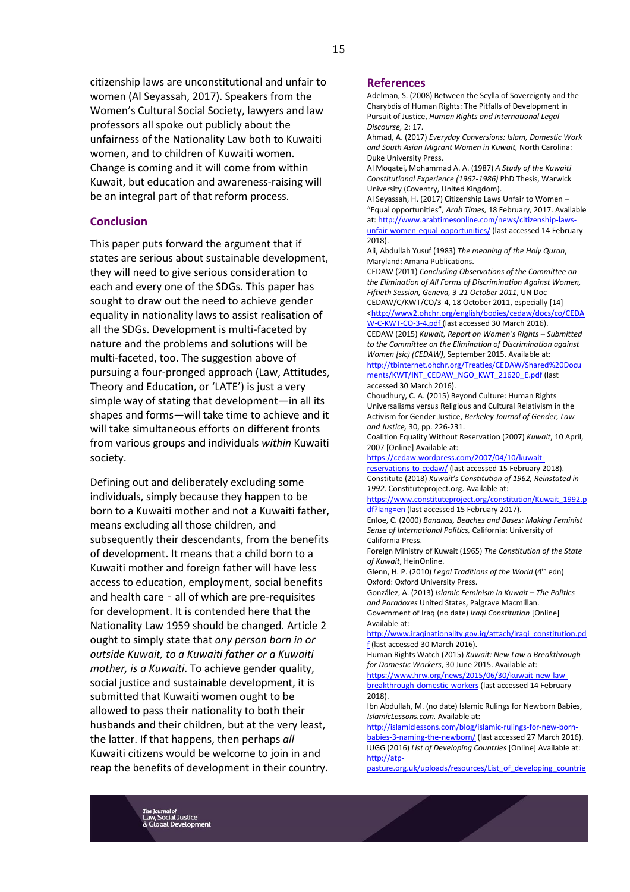citizenship laws are unconstitutional and unfair to women (Al Seyassah, 2017). Speakers from the Women's Cultural Social Society, lawyers and law professors all spoke out publicly about the unfairness of the Nationality Law both to Kuwaiti women, and to children of Kuwaiti women. Change is coming and it will come from within Kuwait, but education and awareness-raising will be an integral part of that reform process.

### **Conclusion**

This paper puts forward the argument that if states are serious about sustainable development, they will need to give serious consideration to each and every one of the SDGs. This paper has sought to draw out the need to achieve gender equality in nationality laws to assist realisation of all the SDGs. Development is multi-faceted by nature and the problems and solutions will be multi-faceted, too. The suggestion above of pursuing a four-pronged approach (Law, Attitudes, Theory and Education, or 'LATE') is just a very simple way of stating that development—in all its shapes and forms—will take time to achieve and it will take simultaneous efforts on different fronts from various groups and individuals *within* Kuwaiti society.

Defining out and deliberately excluding some individuals, simply because they happen to be born to a Kuwaiti mother and not a Kuwaiti father, means excluding all those children, and subsequently their descendants, from the benefits of development. It means that a child born to a Kuwaiti mother and foreign father will have less access to education, employment, social benefits and health care – all of which are pre-requisites for development. It is contended here that the Nationality Law 1959 should be changed. Article 2 ought to simply state that *any person born in or outside Kuwait, to a Kuwaiti father or a Kuwaiti mother, is a Kuwaiti*. To achieve gender quality, social justice and sustainable development, it is submitted that Kuwaiti women ought to be allowed to pass their nationality to both their husbands and their children, but at the very least, the latter. If that happens, then perhaps *all* Kuwaiti citizens would be welcome to join in and reap the benefits of development in their country.

#### **References**

Adelman, S. (2008) Between the Scylla of Sovereignty and the Charybdis of Human Rights: The Pitfalls of Development in Pursuit of Justice, *Human Rights and International Legal Discourse,* 2: 17.

Ahmad, A. (2017) *Everyday Conversions: Islam, Domestic Work and South Asian Migrant Women in Kuwait,* North Carolina: Duke University Press.

Al Moqatei, Mohammad A. A. (1987) *A Study of the Kuwaiti Constitutional Experience (1962-1986)* PhD Thesis, Warwick University (Coventry, United Kingdom).

Al Seyassah, H. (2017) Citizenship Laws Unfair to Women – "Equal opportunities", *Arab Times,* 18 February, 2017. Available at[: http://www.arabtimesonline.com/news/citizenship-laws](http://www.arabtimesonline.com/news/citizenship-laws-unfair-women-equal-opportunities/)[unfair-women-equal-opportunities/](http://www.arabtimesonline.com/news/citizenship-laws-unfair-women-equal-opportunities/) (last accessed 14 February 2018).

Ali, Abdullah Yusuf (1983) *The meaning of the Holy Quran*, Maryland: Amana Publications.

CEDAW (2011) *Concluding Observations of the Committee on the Elimination of All Forms of Discrimination Against Women, Fiftieth Session, Geneva, 3-21 October 2011*, UN Doc CEDAW/C/KWT/CO/3-4, 18 October 2011, especially [14]

[<http://www2.ohchr.org/english/bodies/cedaw/docs/co/CEDA](http://www2.ohchr.org/english/bodies/cedaw/docs/co/CEDAW-C-KWT-CO-3-4.pdf) [W-C-KWT-CO-3-4.pdf](http://www2.ohchr.org/english/bodies/cedaw/docs/co/CEDAW-C-KWT-CO-3-4.pdf) (last accessed 30 March 2016).

CEDAW (2015) *Kuwait, Report on Women's Rights – Submitted to the Committee on the Elimination of Discrimination against Women [sic) (CEDAW)*, September 2015. Available at:

[http://tbinternet.ohchr.org/Treaties/CEDAW/Shared%20Docu](http://tbinternet.ohchr.org/Treaties/CEDAW/Shared%20Documents/KWT/INT_CEDAW_NGO_KWT_21620_E.pdf) [ments/KWT/INT\\_CEDAW\\_NGO\\_KWT\\_21620\\_E.pdf](http://tbinternet.ohchr.org/Treaties/CEDAW/Shared%20Documents/KWT/INT_CEDAW_NGO_KWT_21620_E.pdf) (last accessed 30 March 2016).

Choudhury, C. A. (2015) Beyond Culture: Human Rights Universalisms versus Religious and Cultural Relativism in the Activism for Gender Justice, *Berkeley Journal of Gender, Law and Justice,* 30, pp. 226-231.

Coalition Equality Without Reservation (2007) *Kuwait*, 10 April, 2007 [Online] Available at:

[https://cedaw.wordpress.com/2007/04/10/kuwait](https://cedaw.wordpress.com/2007/04/10/kuwait-reservations-to-cedaw/)[reservations-to-cedaw/](https://cedaw.wordpress.com/2007/04/10/kuwait-reservations-to-cedaw/) (last accessed 15 February 2018). Constitute (2018) *Kuwait's Constitution of 1962, Reinstated in 1992*. Constituteproject.org. Available at:

[https://www.constituteproject.org/constitution/Kuwait\\_1992.p](https://www.constituteproject.org/constitution/Kuwait_1992.pdf?lang=en) [df?lang=en](https://www.constituteproject.org/constitution/Kuwait_1992.pdf?lang=en) (last accessed 15 February 2017).

Enloe, C. (2000) *Bananas, Beaches and Bases: Making Feminist Sense of International Politics,* California: University of California Press.

Foreign Ministry of Kuwait (1965) *The Constitution of the State of Kuwait*, HeinOnline.

Glenn, H. P. (2010) *Legal Traditions of the World* (4<sup>th</sup> edn) Oxford: Oxford University Press.

González, A. (2013) *Islamic Feminism in Kuwait – The Politics and Paradoxes* United States, Palgrave Macmillan. Government of Iraq (no date) *Iraqi Constitution* [Online] Available at:

[http://www.iraqinationality.gov.iq/attach/iraqi\\_constitution.pd](http://www.iraqinationality.gov.iq/attach/iraqi_constitution.pdf) [f](http://www.iraqinationality.gov.iq/attach/iraqi_constitution.pdf) (last accessed 30 March 2016).

Human Rights Watch (2015) *Kuwait: New Law a Breakthrough for Domestic Workers*, 30 June 2015. Available at:

[https://www.hrw.org/news/2015/06/30/kuwait-new-law](https://www.hrw.org/news/2015/06/30/kuwait-new-law-breakthrough-domestic-workers)[breakthrough-domestic-workers](https://www.hrw.org/news/2015/06/30/kuwait-new-law-breakthrough-domestic-workers) (last accessed 14 February 2018).

Ibn Abdullah, M. (no date) Islamic Rulings for Newborn Babies, *IslamicLessons.com.* Available at:

[http://islamiclessons.com/blog/islamic-rulings-for-new-born](http://islamiclessons.com/blog/islamic-rulings-for-new-born-babies-3-naming-the-newborn/)[babies-3-naming-the-newborn/](http://islamiclessons.com/blog/islamic-rulings-for-new-born-babies-3-naming-the-newborn/) (last accessed 27 March 2016). IUGG (2016) *List of Developing Countries* [Online] Available at: [http://atp-](http://atp-pasture.org.uk/uploads/resources/List_of_developing_countries___26th_IUGG_GENERAL_ASSEMBLY_2015.pdf)

[pasture.org.uk/uploads/resources/List\\_of\\_developing\\_countrie](http://atp-pasture.org.uk/uploads/resources/List_of_developing_countries___26th_IUGG_GENERAL_ASSEMBLY_2015.pdf)